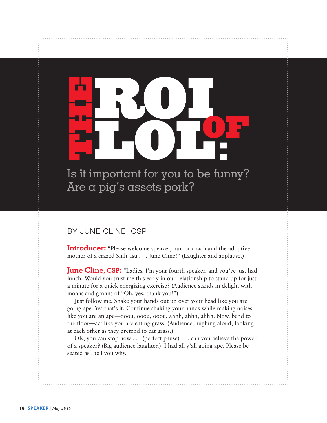Is it important for you to be funny? Are a pig's assets pork?

**LOL**

**OF <sup>T</sup>**

**:**

**ROI**

# By June Cline, CsP

**H**

**E**

**Introducer:** "Please welcome speaker, humor coach and the adoptive mother of a crazed Shih Tsu . . . June Cline!" (Laughter and applause.)

**June Cline, CSP:** "Ladies, I'm your fourth speaker, and you've just had lunch. Would you trust me this early in our relationship to stand up for just a minute for a quick energizing exercise? (Audience stands in delight with moans and groans of "Oh, yes, thank you!")

Just follow me. Shake your hands out up over your head like you are going ape. Yes that's it. Continue shaking your hands while making noises like you are an ape—ooou, ooou, ooou, ahhh, ahhh, ahhh. Now, bend to the floor—act like you are eating grass. (Audience laughing aloud, looking at each other as they pretend to eat grass.)

OK, you can stop now . . . (perfect pause) . . . can you believe the power of a speaker? (Big audience laughter.) I had all y'all going ape. Please be seated as I tell you why.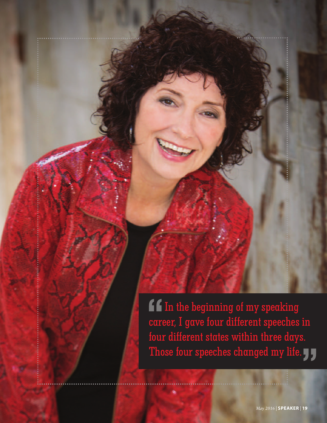If In the beginning of my speaking career, I gave four different speeches in four different states within three days. Those four speeches changed my life.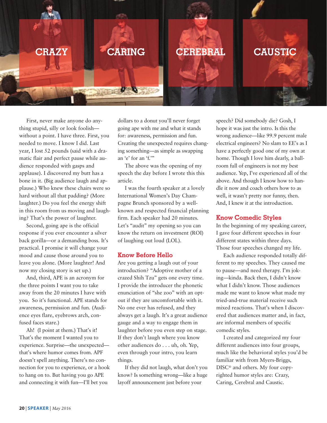

First, never make anyone do anything stupid, silly or look foolish without a point. I have three. First, you needed to move. I know I did. Last year, I lost 52 pounds (said with a dramatic flair and perfect pause while audience responded with gasps and applause). I discovered my butt has a bone in it. (Big audience laugh and applause.) Who knew these chairs were so hard without all that padding? (More laughter.) Do you feel the energy shift in this room from us moving and laughing? That's the power of laughter.

Second, going ape is the official response if you ever encounter a silver back gorilla—or a demanding boss. It's practical. I promise it will change your mood and cause those around you to leave you alone. (More laughter! And now my closing story is set up.)

And, third, APE is an acronym for the three points I want you to take away from the 20 minutes I have with you. So it's functional. APE stands for awareness, permission and fun. (Audience eyes flare, eyebrows arch, confused faces stare.)

Ah! (I point at them.) That's it! That's the moment I wanted you to experience. Surprise—the unexpected that's where humor comes from. APF doesn't spell anything. There's no connection for you to experience, or a hook to hang on to. But having you go APE and connecting it with fun—I'll bet you

dollars to a donut you'll never forget going ape with me and what it stands for: awareness, permission and fun. Creating the unexpected requires changing something—as simple as swapping an 'e' for an 'f.'"

The above was the opening of my speech the day before I wrote this this article.

I was the fourth speaker at a lovely International Women's Day Champagne Brunch sponsored by a wellknown and respected financial planning firm. Each speaker had 20 minutes. Let's "audit" my opening so you can know the return on investment (ROI) of laughing out loud (LOL).

### **Know Before Hello**

Are you getting a laugh out of your introduction? "Adoptive mother of a crazed Shih Tzu" gets one every time. I provide the introducer the phonetic enunciation of "she zoo" with an optout if they are uncomfortable with it. No one ever has refused, and they always get a laugh. It's a great audience gauge and a way to engage them in laughter before you even step on stage. If they don't laugh where you know other audiences do . . . uh, oh. Yep, even through your intro, you learn things.

If they did not laugh, what don't you know? Is something wrong—like a huge layoff announcement just before your

speech? Did somebody die? Gosh, I hope it was just the intro. Is this the wrong audience—like 99.9 percent male electrical engineers? No slam to EE's as I have a perfectly good one of my own at home. Though I love him dearly, a ballroom full of engineers is not my best audience. Yep, I've experienced all of the above. And though I know how to handle it now and coach others how to as well, it wasn't pretty nor funny, then. And, I knew it at the introduction.

#### **Know Comedic Styles**

In the beginning of my speaking career, I gave four different speeches in four different states within three days. Those four speeches changed my life.

Each audience responded totally different to my speeches. They caused me to pause—and need therapy. I'm joking—kinda. Back then, I didn't know what I didn't know. Those audiences made me want to know what made my tried-and-true material receive such mixed reactions. That's when I discovered that audiences matter and, in fact, are informal members of specific comedic styles.

I created and categorized my four different audiences into four groups, much like the behavioral styles you'd be familiar with from Myers-Briggs, DISC® and others. My four copyrighted humor styles are: Crazy, Caring, Cerebral and Caustic.